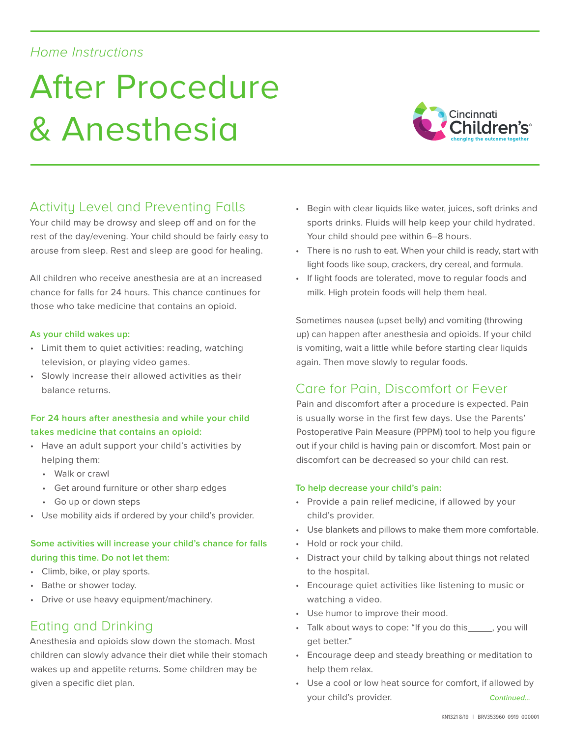## *Home Instructions*

# After Procedure & Anesthesia



# Activity Level and Preventing Falls

Your child may be drowsy and sleep off and on for the rest of the day/evening. Your child should be fairly easy to arouse from sleep. Rest and sleep are good for healing.

All children who receive anesthesia are at an increased chance for falls for 24 hours. This chance continues for those who take medicine that contains an opioid.

#### **As your child wakes up:**

- Limit them to quiet activities: reading, watching television, or playing video games.
- Slowly increase their allowed activities as their balance returns.

### **For 24 hours after anesthesia and while your child takes medicine that contains an opioid:**

- Have an adult support your child's activities by helping them:
	- Walk or crawl
	- Get around furniture or other sharp edges
	- Go up or down steps
- Use mobility aids if ordered by your child's provider.

## **Some activities will increase your child's chance for falls during this time. Do not let them:**

- Climb, bike, or play sports.
- Bathe or shower today.
- Drive or use heavy equipment/machinery.

## Eating and Drinking

Anesthesia and opioids slow down the stomach. Most children can slowly advance their diet while their stomach wakes up and appetite returns. Some children may be given a specific diet plan.

- Begin with clear liquids like water, juices, soft drinks and sports drinks. Fluids will help keep your child hydrated. Your child should pee within 6–8 hours.
- There is no rush to eat. When your child is ready, start with light foods like soup, crackers, dry cereal, and formula.
- If light foods are tolerated, move to regular foods and milk. High protein foods will help them heal.

Sometimes nausea (upset belly) and vomiting (throwing up) can happen after anesthesia and opioids. If your child is vomiting, wait a little while before starting clear liquids again. Then move slowly to regular foods.

## Care for Pain, Discomfort or Fever

Pain and discomfort after a procedure is expected. Pain is usually worse in the first few days. Use the Parents' Postoperative Pain Measure (PPPM) tool to help you figure out if your child is having pain or discomfort. Most pain or discomfort can be decreased so your child can rest.

#### **To help decrease your child's pain:**

- Provide a pain relief medicine, if allowed by your child's provider.
- Use blankets and pillows to make them more comfortable.
- Hold or rock your child.
- Distract your child by talking about things not related to the hospital.
- Encourage quiet activities like listening to music or watching a video.
- Use humor to improve their mood.
- Talk about ways to cope: "If you do this imply you will get better."
- Encourage deep and steady breathing or meditation to help them relax.
- Use a cool or low heat source for comfort, if allowed by your child's provider. *Continued…*